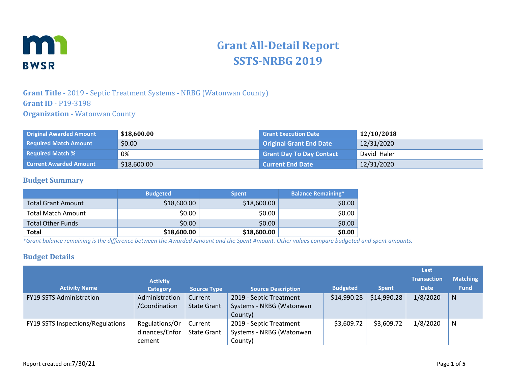

# **Grant All-Detail Report SSTS-NRBG 2019**

### **Grant Title -** 2019 - Septic Treatment Systems - NRBG (Watonwan County) **Grant ID** - P19-3198 **Organization -** Watonwan County

| <b>Original Awarded Amount</b> | \$18,600.00 | <b>Grant Execution Date</b>     | 12/10/2018  |
|--------------------------------|-------------|---------------------------------|-------------|
| <b>Required Match Amount</b>   | \$0.00      | <b>Original Grant End Date</b>  | 12/31/2020  |
| <b>Required Match %</b>        | 0%          | <b>Grant Day To Day Contact</b> | David Haler |
| <b>Current Awarded Amount</b>  | \$18,600.00 | <b>Current End Date</b>         | 12/31/2020  |

#### **Budget Summary**

|                           | <b>Budgeted</b> | <b>Spent</b> | <b>Balance Remaining*</b> |
|---------------------------|-----------------|--------------|---------------------------|
| <b>Total Grant Amount</b> | \$18,600.00     | \$18,600.00  | \$0.00                    |
| <b>Total Match Amount</b> | \$0.00          | \$0.00       | \$0.00                    |
| <b>Total Other Funds</b>  | \$0.00          | \$0.00       | \$0.00                    |
| <b>Total</b>              | \$18,600.00     | \$18,600.00  | \$0.00                    |

*\*Grant balance remaining is the difference between the Awarded Amount and the Spent Amount. Other values compare budgeted and spent amounts.*

#### **Budget Details**

|                                   |                 |                    |                           |                 |              | Last               |                 |
|-----------------------------------|-----------------|--------------------|---------------------------|-----------------|--------------|--------------------|-----------------|
|                                   | <b>Activity</b> |                    |                           |                 |              | <b>Transaction</b> | <b>Matching</b> |
| <b>Activity Name</b>              | <b>Category</b> | <b>Source Type</b> | <b>Source Description</b> | <b>Budgeted</b> | <b>Spent</b> | <b>Date</b>        | <b>Fund</b>     |
| <b>FY19 SSTS Administration</b>   | Administration  | Current            | 2019 - Septic Treatment   | \$14,990.28     | \$14,990.28  | 1/8/2020           | N               |
|                                   | /Coordination   | <b>State Grant</b> | Systems - NRBG (Watonwan  |                 |              |                    |                 |
|                                   |                 |                    | County)                   |                 |              |                    |                 |
| FY19 SSTS Inspections/Regulations | Regulations/Or  | Current            | 2019 - Septic Treatment   | \$3,609.72      | \$3,609.72   | 1/8/2020           | N               |
|                                   | dinances/Enfor  | <b>State Grant</b> | Systems - NRBG (Watonwan  |                 |              |                    |                 |
|                                   | cement          |                    | County)                   |                 |              |                    |                 |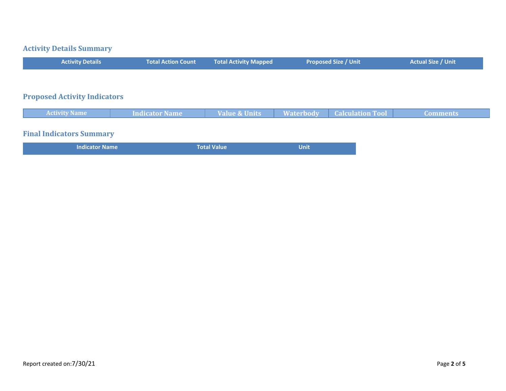#### **Activity Details Summary**

| <b>Activity Details</b>             | <b>Total Action Count</b> | <b>Total Activity Mapped</b> | <b>Proposed Size / Unit</b> | <b>Actual Size / Unit</b> |
|-------------------------------------|---------------------------|------------------------------|-----------------------------|---------------------------|
|                                     |                           |                              |                             |                           |
| <b>Proposed Activity Indicators</b> |                           |                              |                             |                           |

| <b>Activity Name</b>     | <b>Indicator Name</b> | <b>Value &amp; Units</b> | <b>Waterbody Calculation Tool</b> | <b>Comments</b> |
|--------------------------|-----------------------|--------------------------|-----------------------------------|-----------------|
|                          |                       |                          |                                   |                 |
| Einel Indicators Cummany |                       |                          |                                   |                 |

#### **Final Indicators Summary**

| <b>Indicator Name</b> | <b>Total Value</b> | Unit |
|-----------------------|--------------------|------|
|-----------------------|--------------------|------|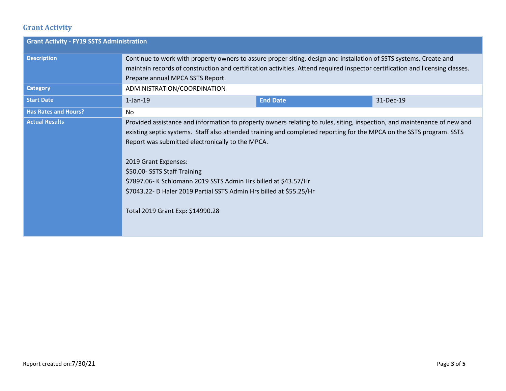## **Grant Activity**

| <b>Grant Activity - FY19 SSTS Administration</b> |                                                                                                                                                                                                                                                                                                                                                                                                                                                                                                                                            |                 |           |  |
|--------------------------------------------------|--------------------------------------------------------------------------------------------------------------------------------------------------------------------------------------------------------------------------------------------------------------------------------------------------------------------------------------------------------------------------------------------------------------------------------------------------------------------------------------------------------------------------------------------|-----------------|-----------|--|
| <b>Description</b>                               | Continue to work with property owners to assure proper siting, design and installation of SSTS systems. Create and<br>maintain records of construction and certification activities. Attend required inspector certification and licensing classes.<br>Prepare annual MPCA SSTS Report.                                                                                                                                                                                                                                                    |                 |           |  |
| <b>Category</b>                                  | ADMINISTRATION/COORDINATION                                                                                                                                                                                                                                                                                                                                                                                                                                                                                                                |                 |           |  |
| <b>Start Date</b>                                | $1$ -Jan- $19$                                                                                                                                                                                                                                                                                                                                                                                                                                                                                                                             | <b>End Date</b> | 31-Dec-19 |  |
| <b>Has Rates and Hours?</b>                      | No.                                                                                                                                                                                                                                                                                                                                                                                                                                                                                                                                        |                 |           |  |
| <b>Actual Results</b>                            | Provided assistance and information to property owners relating to rules, siting, inspection, and maintenance of new and<br>existing septic systems. Staff also attended training and completed reporting for the MPCA on the SSTS program. SSTS<br>Report was submitted electronically to the MPCA.<br>2019 Grant Expenses:<br>\$50.00- SSTS Staff Training<br>\$7897.06- K Schlomann 2019 SSTS Admin Hrs billed at \$43.57/Hr<br>\$7043.22- D Haler 2019 Partial SSTS Admin Hrs billed at \$55.25/Hr<br>Total 2019 Grant Exp: \$14990.28 |                 |           |  |